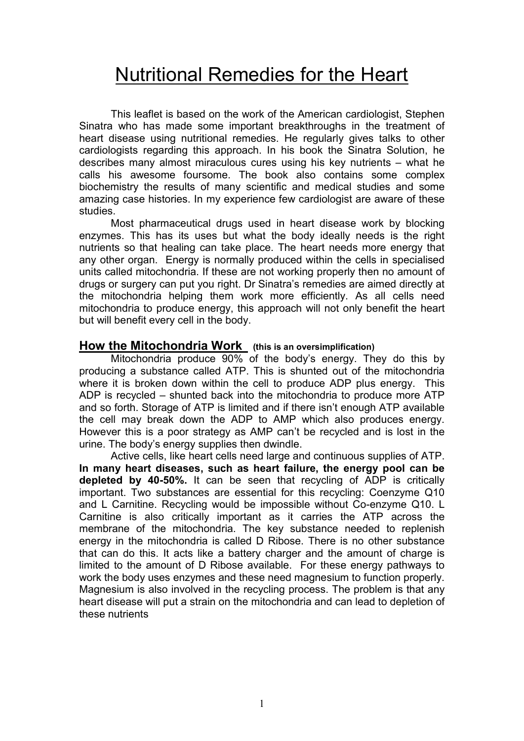# Nutritional Remedies for the Heart

 This leaflet is based on the work of the American cardiologist, Stephen Sinatra who has made some important breakthroughs in the treatment of heart disease using nutritional remedies. He regularly gives talks to other cardiologists regarding this approach. In his book the Sinatra Solution, he describes many almost miraculous cures using his key nutrients – what he calls his awesome foursome. The book also contains some complex biochemistry the results of many scientific and medical studies and some amazing case histories. In my experience few cardiologist are aware of these studies.

 Most pharmaceutical drugs used in heart disease work by blocking enzymes. This has its uses but what the body ideally needs is the right nutrients so that healing can take place. The heart needs more energy that any other organ. Energy is normally produced within the cells in specialised units called mitochondria. If these are not working properly then no amount of drugs or surgery can put you right. Dr Sinatra's remedies are aimed directly at the mitochondria helping them work more efficiently. As all cells need mitochondria to produce energy, this approach will not only benefit the heart but will benefit every cell in the body.

# How the Mitochondria Work (this is an oversimplification)

Mitochondria produce 90% of the body's energy. They do this by producing a substance called ATP. This is shunted out of the mitochondria where it is broken down within the cell to produce ADP plus energy. This ADP is recycled – shunted back into the mitochondria to produce more ATP and so forth. Storage of ATP is limited and if there isn't enough ATP available the cell may break down the ADP to AMP which also produces energy. However this is a poor strategy as AMP can't be recycled and is lost in the urine. The body's energy supplies then dwindle.

Active cells, like heart cells need large and continuous supplies of ATP. In many heart diseases, such as heart failure, the energy pool can be depleted by 40-50%. It can be seen that recycling of ADP is critically important. Two substances are essential for this recycling: Coenzyme Q10 and L Carnitine. Recycling would be impossible without Co-enzyme Q10. L Carnitine is also critically important as it carries the ATP across the membrane of the mitochondria. The key substance needed to replenish energy in the mitochondria is called D Ribose. There is no other substance that can do this. It acts like a battery charger and the amount of charge is limited to the amount of D Ribose available. For these energy pathways to work the body uses enzymes and these need magnesium to function properly. Magnesium is also involved in the recycling process. The problem is that any heart disease will put a strain on the mitochondria and can lead to depletion of these nutrients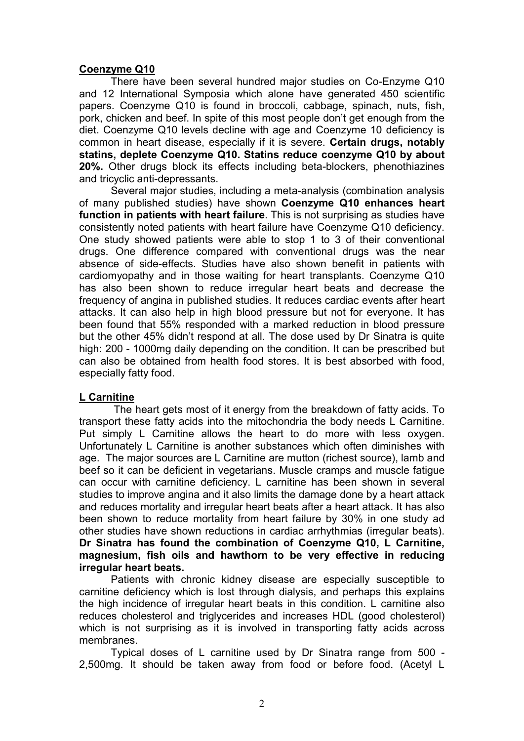#### Coenzyme Q10

There have been several hundred major studies on Co-Enzyme Q10 and 12 International Symposia which alone have generated 450 scientific papers. Coenzyme Q10 is found in broccoli, cabbage, spinach, nuts, fish, pork, chicken and beef. In spite of this most people don't get enough from the diet. Coenzyme Q10 levels decline with age and Coenzyme 10 deficiency is common in heart disease, especially if it is severe. Certain drugs, notably statins, deplete Coenzyme Q10. Statins reduce coenzyme Q10 by about 20%. Other drugs block its effects including beta-blockers, phenothiazines and tricyclic anti-depressants.

 Several major studies, including a meta-analysis (combination analysis of many published studies) have shown Coenzyme Q10 enhances heart function in patients with heart failure. This is not surprising as studies have consistently noted patients with heart failure have Coenzyme Q10 deficiency. One study showed patients were able to stop 1 to 3 of their conventional drugs. One difference compared with conventional drugs was the near absence of side-effects. Studies have also shown benefit in patients with cardiomyopathy and in those waiting for heart transplants. Coenzyme Q10 has also been shown to reduce irregular heart beats and decrease the frequency of angina in published studies. It reduces cardiac events after heart attacks. It can also help in high blood pressure but not for everyone. It has been found that 55% responded with a marked reduction in blood pressure but the other 45% didn't respond at all. The dose used by Dr Sinatra is quite high: 200 - 1000mg daily depending on the condition. It can be prescribed but can also be obtained from health food stores. It is best absorbed with food, especially fatty food.

#### L Carnitine

 The heart gets most of it energy from the breakdown of fatty acids. To transport these fatty acids into the mitochondria the body needs L Carnitine. Put simply L Carnitine allows the heart to do more with less oxygen. Unfortunately L Carnitine is another substances which often diminishes with age. The major sources are L Carnitine are mutton (richest source), lamb and beef so it can be deficient in vegetarians. Muscle cramps and muscle fatigue can occur with carnitine deficiency. L carnitine has been shown in several studies to improve angina and it also limits the damage done by a heart attack and reduces mortality and irregular heart beats after a heart attack. It has also been shown to reduce mortality from heart failure by 30% in one study ad other studies have shown reductions in cardiac arrhythmias (irregular beats). Dr Sinatra has found the combination of Coenzyme Q10, L Carnitine, magnesium, fish oils and hawthorn to be very effective in reducing irregular heart beats.

Patients with chronic kidney disease are especially susceptible to carnitine deficiency which is lost through dialysis, and perhaps this explains the high incidence of irregular heart beats in this condition. L carnitine also reduces cholesterol and triglycerides and increases HDL (good cholesterol) which is not surprising as it is involved in transporting fatty acids across membranes.

Typical doses of L carnitine used by Dr Sinatra range from 500 - 2,500mg. It should be taken away from food or before food. (Acetyl L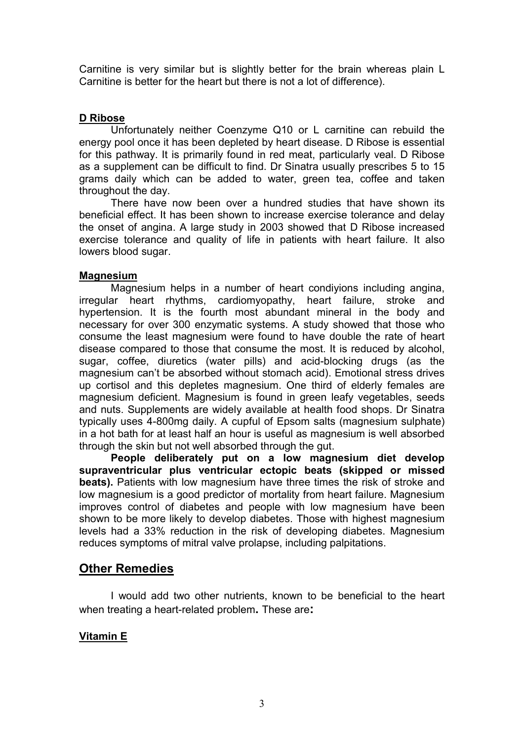Carnitine is very similar but is slightly better for the brain whereas plain L Carnitine is better for the heart but there is not a lot of difference).

#### D Ribose

 Unfortunately neither Coenzyme Q10 or L carnitine can rebuild the energy pool once it has been depleted by heart disease. D Ribose is essential for this pathway. It is primarily found in red meat, particularly veal. D Ribose as a supplement can be difficult to find. Dr Sinatra usually prescribes 5 to 15 grams daily which can be added to water, green tea, coffee and taken throughout the day.

There have now been over a hundred studies that have shown its beneficial effect. It has been shown to increase exercise tolerance and delay the onset of angina. A large study in 2003 showed that D Ribose increased exercise tolerance and quality of life in patients with heart failure. It also lowers blood sugar.

#### **Magnesium**

 Magnesium helps in a number of heart condiyions including angina, irregular heart rhythms, cardiomyopathy, heart failure, stroke and hypertension. It is the fourth most abundant mineral in the body and necessary for over 300 enzymatic systems. A study showed that those who consume the least magnesium were found to have double the rate of heart disease compared to those that consume the most. It is reduced by alcohol, sugar, coffee, diuretics (water pills) and acid-blocking drugs (as the magnesium can't be absorbed without stomach acid). Emotional stress drives up cortisol and this depletes magnesium. One third of elderly females are magnesium deficient. Magnesium is found in green leafy vegetables, seeds and nuts. Supplements are widely available at health food shops. Dr Sinatra typically uses 4-800mg daily. A cupful of Epsom salts (magnesium sulphate) in a hot bath for at least half an hour is useful as magnesium is well absorbed through the skin but not well absorbed through the gut.

People deliberately put on a low magnesium diet develop supraventricular plus ventricular ectopic beats (skipped or missed beats). Patients with low magnesium have three times the risk of stroke and low magnesium is a good predictor of mortality from heart failure. Magnesium improves control of diabetes and people with low magnesium have been shown to be more likely to develop diabetes. Those with highest magnesium levels had a 33% reduction in the risk of developing diabetes. Magnesium reduces symptoms of mitral valve prolapse, including palpitations.

## Other Remedies

I would add two other nutrients, known to be beneficial to the heart when treating a heart-related problem. These are:

### Vitamin E